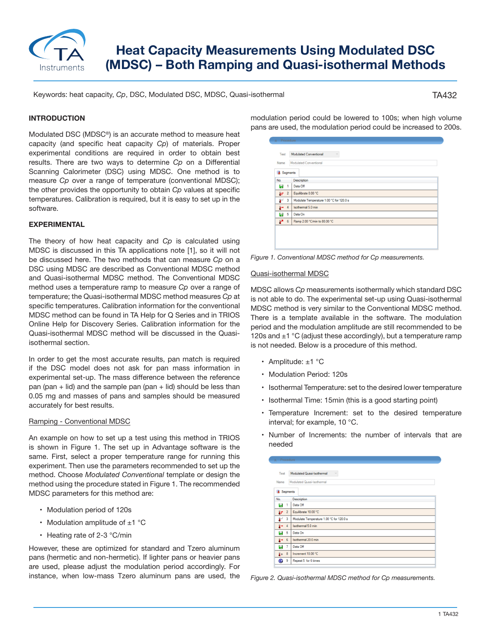

# **Heat Capacity Measurements Using Modulated DSC (MDSC) – Both Ramping and Quasi-isothermal Methods**

Keywords: heat capacity, *Cp*, DSC, Modulated DSC, MDSC, Quasi-isothermal

# TA432

# **INTRODUCTION**

Modulated DSC (MDSC®) is an accurate method to measure heat capacity (and specific heat capacity *Cp*) of materials. Proper experimental conditions are required in order to obtain best results. There are two ways to determine *Cp* on a Differential Scanning Calorimeter (DSC) using MDSC. One method is to measure *Cp* over a range of temperature (conventional MDSC); the other provides the opportunity to obtain *Cp* values at specific temperatures. Calibration is required, but it is easy to set up in the software.

# **EXPERIMENTAL**

The theory of how heat capacity and *Cp* is calculated using MDSC is discussed in this TA applications note [1], so it will not be discussed here. The two methods that can measure *Cp* on a DSC using MDSC are described as Conventional MDSC method and Quasi-isothermal MDSC method. The Conventional MDSC method uses a temperature ramp to measure *Cp* over a range of temperature; the Quasi-isothermal MDSC method measures *Cp* at specific temperatures. Calibration information for the conventional MDSC method can be found in TA Help for Q Series and in TRIOS Online Help for Discovery Series. Calibration information for the Quasi-isothermal MDSC method will be discussed in the Quasiisothermal section.

In order to get the most accurate results, pan match is required if the DSC model does not ask for pan mass information in experimental set-up. The mass difference between the reference pan (pan  $+$  lid) and the sample pan (pan  $+$  lid) should be less than 0.05 mg and masses of pans and samples should be measured accurately for best results.

# Ramping - Conventional MDSC

An example on how to set up a test using this method in TRIOS is shown in Figure 1. The set up in Advantage software is the same. First, select a proper temperature range for running this experiment. Then use the parameters recommended to set up the method. Choose *Modulated Conventional* template or design the method using the procedure stated in Figure 1. The recommended MDSC parameters for this method are:

- Modulation period of 120s
- Modulation amplitude of  $\pm 1$  °C
- Heating rate of 2-3 °C/min

However, these are optimized for standard and Tzero aluminum pans (hermetic and non-hermetic). If lighter pans or heavier pans are used, please adjust the modulation period accordingly. For instance, when low-mass Tzero aluminum pans are used, the modulation period could be lowered to 100s; when high volume pans are used, the modulation period could be increased to 200s.

| Name<br><b>3</b> Segments |                | Modulated Conventional                   |
|---------------------------|----------------|------------------------------------------|
| No.                       |                | Description                              |
| ы                         | $\overline{1}$ | Data Off                                 |
| £r                        | $\overline{2}$ | Equilibrate 0.00 °C                      |
| $\mathbf{r}$              | $\overline{3}$ | Modulate Temperature 1.00 °C for 120.0 s |
| Î⇒                        | $\overline{4}$ | Isothermal 5.0 min                       |
| ы                         | 5              | Data On                                  |
| P                         | 6              | Ramp 2.00 °C/min to 80.00 °C             |
|                           |                |                                          |

*Figure 1. Conventional MDSC method for Cp measurements.*

### Quasi-isothermal MDSC

MDSC allows *Cp* measurements isothermally which standard DSC is not able to do. The experimental set-up using Quasi-isothermal MDSC method is very similar to the Conventional MDSC method. There is a template available in the software. The modulation period and the modulation amplitude are still recommended to be 120s and  $\pm$ 1 °C (adjust these accordingly), but a temperature ramp is not needed. Below is a procedure of this method.

- Amplitude: ±1 °C
- Modulation Period: 120s
- Isothermal Temperature: set to the desired lower temperature
- Isothermal Time: 15min (this is a good starting point)
- Temperature Increment: set to the desired temperature interval; for example, 10 °C.
- Number of Increments: the number of intervals that are needed

| Test              |                         | Modulated Quasi-Isothermal<br>$\sim$     |  |  |
|-------------------|-------------------------|------------------------------------------|--|--|
| Name              |                         | Modulated Quasi-Isothermal               |  |  |
| <b>3</b> Segments |                         |                                          |  |  |
| No.               |                         | <b>Description</b>                       |  |  |
| ы                 | $\overline{1}$          | Data Off                                 |  |  |
| £r                | $\overline{2}$          | Equilibrate 10.00 °C                     |  |  |
| $\mathbf{r}$      | $\overline{\mathbf{3}}$ | Modulate Temperature 1.00 °C for 120.0 s |  |  |
| $\rightarrow$ 4   |                         | Isothermal 5.0 min                       |  |  |
| ы                 | 5                       | Data On                                  |  |  |
| $+ 6$             |                         | Isothermal 20.0 min                      |  |  |
| 51 م              |                         | Data Off                                 |  |  |
| $1 + 8$           |                         | Increment 10.00 °C                       |  |  |
| $\bullet$         | 9                       | Repeat 5 for 6 times                     |  |  |

*Figure 2. Quasi-isothermal MDSC method for Cp measurements.*